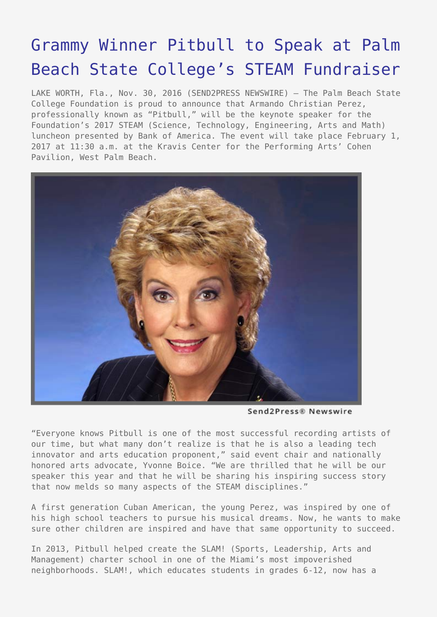## [Grammy Winner Pitbull to Speak at Palm](https://www.send2press.com/wire/grammy-winner-pitbull-to-speak-at-palm-beach-state-colleges-steam-fundraiser/) [Beach State College's STEAM Fundraiser](https://www.send2press.com/wire/grammy-winner-pitbull-to-speak-at-palm-beach-state-colleges-steam-fundraiser/)

LAKE WORTH, Fla., Nov. 30, 2016 (SEND2PRESS NEWSWIRE) — The Palm Beach State College Foundation is proud to announce that Armando Christian Perez, professionally known as "Pitbull," will be the keynote speaker for the Foundation's 2017 STEAM (Science, Technology, Engineering, Arts and Math) luncheon presented by Bank of America. The event will take place February 1, 2017 at 11:30 a.m. at the Kravis Center for the Performing Arts' Cohen Pavilion, West Palm Beach.



Send2Press® Newswire

"Everyone knows Pitbull is one of the most successful recording artists of our time, but what many don't realize is that he is also a leading tech innovator and arts education proponent," said event chair and nationally honored arts advocate, Yvonne Boice. "We are thrilled that he will be our speaker this year and that he will be sharing his inspiring success story that now melds so many aspects of the STEAM disciplines."

A first generation Cuban American, the young Perez, was inspired by one of his high school teachers to pursue his musical dreams. Now, he wants to make sure other children are inspired and have that same opportunity to succeed.

In 2013, Pitbull helped create the SLAM! (Sports, Leadership, Arts and Management) charter school in one of the Miami's most impoverished neighborhoods. SLAM!, which educates students in grades 6-12, now has a